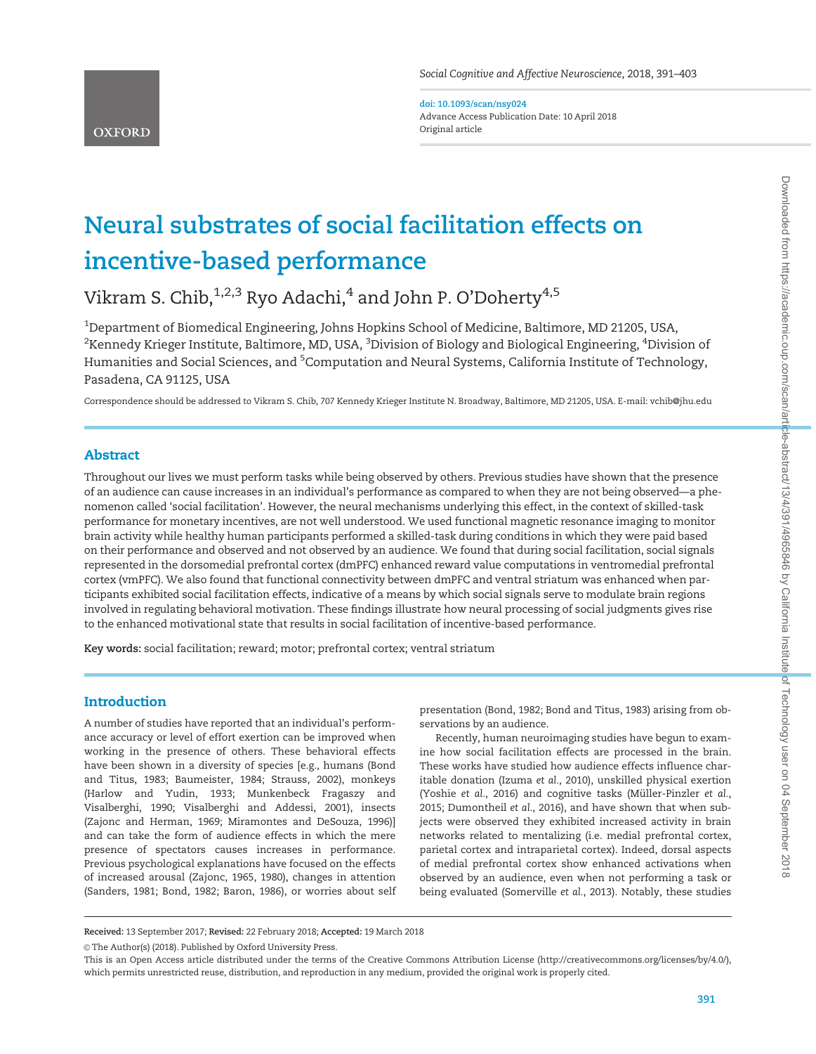doi: 10.1093/scan/nsy024 Advance Access Publication Date: 10 April 2018 Original article

# Neural substrates of social facilitation effects on incentive-based performance

Vikram S. Chib,  $1,2,3$  Ryo Adachi,  $4$  and John P. O'Doherty  $4,5$ 

 $^{\rm 1}$ Department of Biomedical Engineering, Johns Hopkins School of Medicine, Baltimore, MD 21205, USA,  $^2$ Kennedy Krieger Institute, Baltimore, MD, USA,  $^3$ Division of Biology and Biological Engineering,  $^4$ Division of Humanities and Social Sciences, and <sup>5</sup>Computation and Neural Systems, California Institute of Technology, Pasadena, CA 91125, USA

Correspondence should be addressed to Vikram S. Chib, 707 Kennedy Krieger Institute N. Broadway, Baltimore, MD 21205, USA. E-mail: vchib@jhu.edu

# Abstract

Throughout our lives we must perform tasks while being observed by others. Previous studies have shown that the presence of an audience can cause increases in an individual's performance as compared to when they are not being observed—a phenomenon called 'social facilitation'. However, the neural mechanisms underlying this effect, in the context of skilled-task performance for monetary incentives, are not well understood. We used functional magnetic resonance imaging to monitor brain activity while healthy human participants performed a skilled-task during conditions in which they were paid based on their performance and observed and not observed by an audience. We found that during social facilitation, social signals represented in the dorsomedial prefrontal cortex (dmPFC) enhanced reward value computations in ventromedial prefrontal cortex (vmPFC). We also found that functional connectivity between dmPFC and ventral striatum was enhanced when participants exhibited social facilitation effects, indicative of a means by which social signals serve to modulate brain regions involved in regulating behavioral motivation. These findings illustrate how neural processing of social judgments gives rise to the enhanced motivational state that results in social facilitation of incentive-based performance.

Key words: social facilitation; reward; motor; prefrontal cortex; ventral striatum

## **Introduction**

A number of studies have reported that an individual's performance accuracy or level of effort exertion can be improved when working in the presence of others. These behavioral effects have been shown in a diversity of species [e.g., humans [\(Bond](#page-11-0) [and Titus, 1983](#page-11-0); [Baumeister, 1984;](#page-11-0) [Strauss, 2002](#page-12-0)), monkeys [\(Harlow and Yudin, 1933](#page-11-0); [Munkenbeck Fragaszy and](#page-11-0) [Visalberghi, 1990;](#page-11-0) [Visalberghi and Addessi, 2001\)](#page-12-0), insects [\(Zajonc and Herman, 1969](#page-12-0); [Miramontes and DeSouza, 1996](#page-11-0))] and can take the form of audience effects in which the mere presence of spectators causes increases in performance. Previous psychological explanations have focused on the effects of increased arousal [\(Zajonc, 1965, 1980](#page-12-0)), changes in attention [\(Sanders, 1981;](#page-12-0) [Bond, 1982; Baron, 1986](#page-11-0)), or worries about self

presentation [\(Bond, 1982; Bond and Titus, 1983](#page-11-0)) arising from observations by an audience.

Recently, human neuroimaging studies have begun to examine how social facilitation effects are processed in the brain. These works have studied how audience effects influence charitable donation ([Izuma](#page-11-0) et al., 2010), unskilled physical exertion [\(Yoshie](#page-12-0) et al., 2016) and cognitive tasks (Müller-Pinzler et al., [2015;](#page-12-0) [Dumontheil](#page-11-0) et al., 2016), and have shown that when subjects were observed they exhibited increased activity in brain networks related to mentalizing (i.e. medial prefrontal cortex, parietal cortex and intraparietal cortex). Indeed, dorsal aspects of medial prefrontal cortex show enhanced activations when observed by an audience, even when not performing a task or being evaluated [\(Somerville](#page-12-0) et al., 2013). Notably, these studies

Received: 13 September 2017; Revised: 22 February 2018; Accepted: 19 March 2018

© The Author(s) (2018). Published by Oxford University Press.

This is an Open Access article distributed under the terms of the Creative Commons Attribution License (http://creativecommons.org/licenses/by/4.0/), which permits unrestricted reuse, distribution, and reproduction in any medium, provided the original work is properly cited.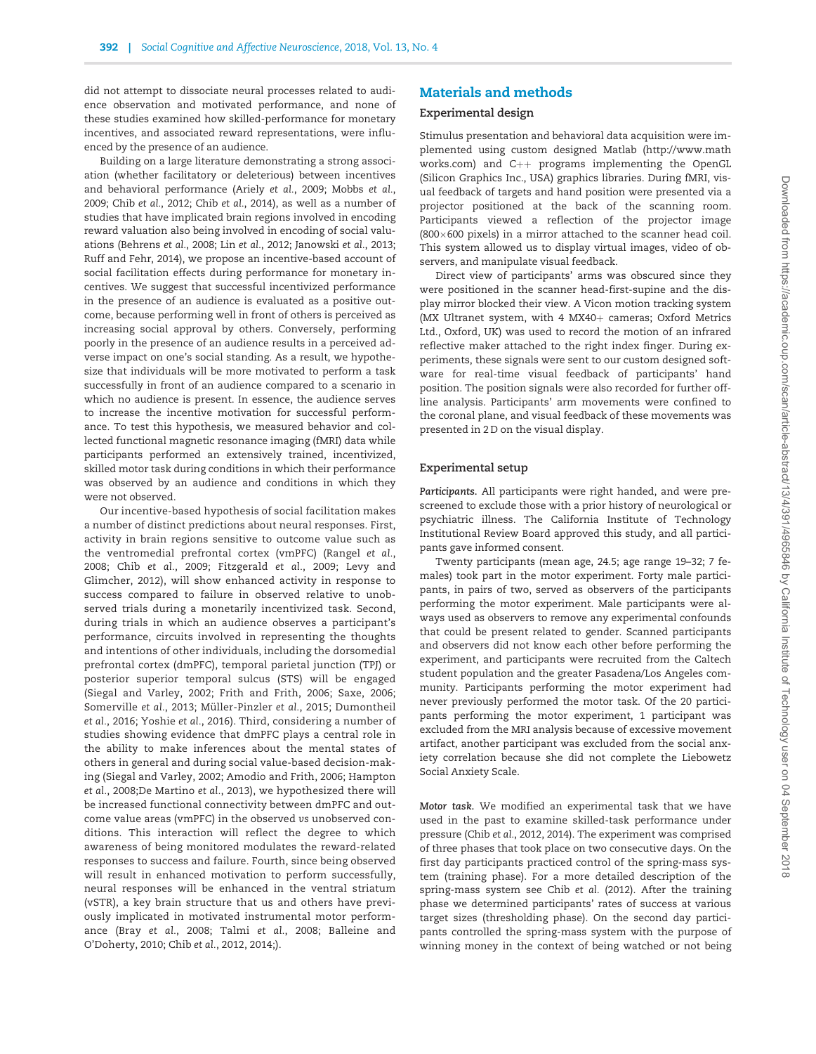did not attempt to dissociate neural processes related to audience observation and motivated performance, and none of these studies examined how skilled-performance for monetary incentives, and associated reward representations, were influenced by the presence of an audience.

Building on a large literature demonstrating a strong association (whether facilitatory or deleterious) between incentives and behavioral performance (Ariely et al.[, 2009](#page-11-0); [Mobbs](#page-11-0) et al., [2009;](#page-11-0) Chib et al.[, 2012](#page-11-0); Chib et al.[, 2014\)](#page-11-0), as well as a number of studies that have implicated brain regions involved in encoding reward valuation also being involved in encoding of social valuations ([Behrens](#page-11-0) et al., 2008; Lin et al.[, 2012](#page-11-0); [Janowski](#page-11-0) et al., 2013; [Ruff and Fehr, 2014](#page-12-0)), we propose an incentive-based account of social facilitation effects during performance for monetary incentives. We suggest that successful incentivized performance in the presence of an audience is evaluated as a positive outcome, because performing well in front of others is perceived as increasing social approval by others. Conversely, performing poorly in the presence of an audience results in a perceived adverse impact on one's social standing. As a result, we hypothesize that individuals will be more motivated to perform a task successfully in front of an audience compared to a scenario in which no audience is present. In essence, the audience serves to increase the incentive motivation for successful performance. To test this hypothesis, we measured behavior and collected functional magnetic resonance imaging (fMRI) data while participants performed an extensively trained, incentivized, skilled motor task during conditions in which their performance was observed by an audience and conditions in which they were not observed.

Our incentive-based hypothesis of social facilitation makes a number of distinct predictions about neural responses. First, activity in brain regions sensitive to outcome value such as the ventromedial prefrontal cortex (vmPFC) [\(Rangel](#page-12-0) et al., [2008](#page-12-0); Chib et al.[, 2009](#page-11-0); [Fitzgerald](#page-11-0) et al., 2009; [Levy and](#page-11-0) [Glimcher, 2012](#page-11-0)), will show enhanced activity in response to success compared to failure in observed relative to unobserved trials during a monetarily incentivized task. Second, during trials in which an audience observes a participant's performance, circuits involved in representing the thoughts and intentions of other individuals, including the dorsomedial prefrontal cortex (dmPFC), temporal parietal junction (TPJ) or posterior superior temporal sulcus (STS) will be engaged ([Siegal and Varley, 2002;](#page-12-0) [Frith and Frith, 2006;](#page-11-0) [Saxe, 2006](#page-12-0); [Somerville](#page-12-0) et al., 2013; Müller-Pinzler et al., 2015; [Dumontheil](#page-11-0) et al.[, 2016;](#page-11-0) [Yoshie](#page-12-0) et al., 2016). Third, considering a number of studies showing evidence that dmPFC plays a central role in the ability to make inferences about the mental states of others in general and during social value-based decision-making [\(Siegal and Varley, 2002;](#page-12-0) [Amodio and Frith, 2006;](#page-10-0) [Hampton](#page-11-0) et al.[, 2008;De Martino](#page-11-0) et al., 2013), we hypothesized there will be increased functional connectivity between dmPFC and outcome value areas (vmPFC) in the observed vs unobserved conditions. This interaction will reflect the degree to which awareness of being monitored modulates the reward-related responses to success and failure. Fourth, since being observed will result in enhanced motivation to perform successfully, neural responses will be enhanced in the ventral striatum (vSTR), a key brain structure that us and others have previously implicated in motivated instrumental motor performance (Bray et al.[, 2008](#page-11-0); Talmi et al.[, 2008;](#page-12-0) [Balleine and](#page-11-0) [O'Doherty, 2010;](#page-11-0) Chib et al.[, 2012, 2014;](#page-11-0)).

# Materials and methods

#### Experimental design

Stimulus presentation and behavioral data acquisition were implemented using custom designed Matlab ([http://www.math](http://www.mathworks.com) [works.com](http://www.mathworks.com)) and  $C_{++}$  programs implementing the OpenGL (Silicon Graphics Inc., USA) graphics libraries. During fMRI, visual feedback of targets and hand position were presented via a projector positioned at the back of the scanning room. Participants viewed a reflection of the projector image  $(800\times600$  pixels) in a mirror attached to the scanner head coil. This system allowed us to display virtual images, video of observers, and manipulate visual feedback.

Direct view of participants' arms was obscured since they were positioned in the scanner head-first-supine and the display mirror blocked their view. A Vicon motion tracking system (MX Ultranet system, with 4 MX40+ cameras; Oxford Metrics Ltd., Oxford, UK) was used to record the motion of an infrared reflective maker attached to the right index finger. During experiments, these signals were sent to our custom designed software for real-time visual feedback of participants' hand position. The position signals were also recorded for further offline analysis. Participants' arm movements were confined to the coronal plane, and visual feedback of these movements was presented in 2 D on the visual display.

#### Experimental setup

Participants. All participants were right handed, and were prescreened to exclude those with a prior history of neurological or psychiatric illness. The California Institute of Technology Institutional Review Board approved this study, and all participants gave informed consent.

Twenty participants (mean age, 24.5; age range 19–32; 7 females) took part in the motor experiment. Forty male participants, in pairs of two, served as observers of the participants performing the motor experiment. Male participants were always used as observers to remove any experimental confounds that could be present related to gender. Scanned participants and observers did not know each other before performing the experiment, and participants were recruited from the Caltech student population and the greater Pasadena/Los Angeles community. Participants performing the motor experiment had never previously performed the motor task. Of the 20 participants performing the motor experiment, 1 participant was excluded from the MRI analysis because of excessive movement artifact, another participant was excluded from the social anxiety correlation because she did not complete the Liebowetz Social Anxiety Scale.

Motor task. We modified an experimental task that we have used in the past to examine skilled-task performance under pressure (Chib et al.[, 2012, 2014](#page-11-0)). The experiment was comprised of three phases that took place on two consecutive days. On the first day participants practiced control of the spring-mass system (training phase). For a more detailed description of the spring-mass system see Chib et al. [\(2012\)](#page-11-0). After the training phase we determined participants' rates of success at various target sizes (thresholding phase). On the second day participants controlled the spring-mass system with the purpose of winning money in the context of being watched or not being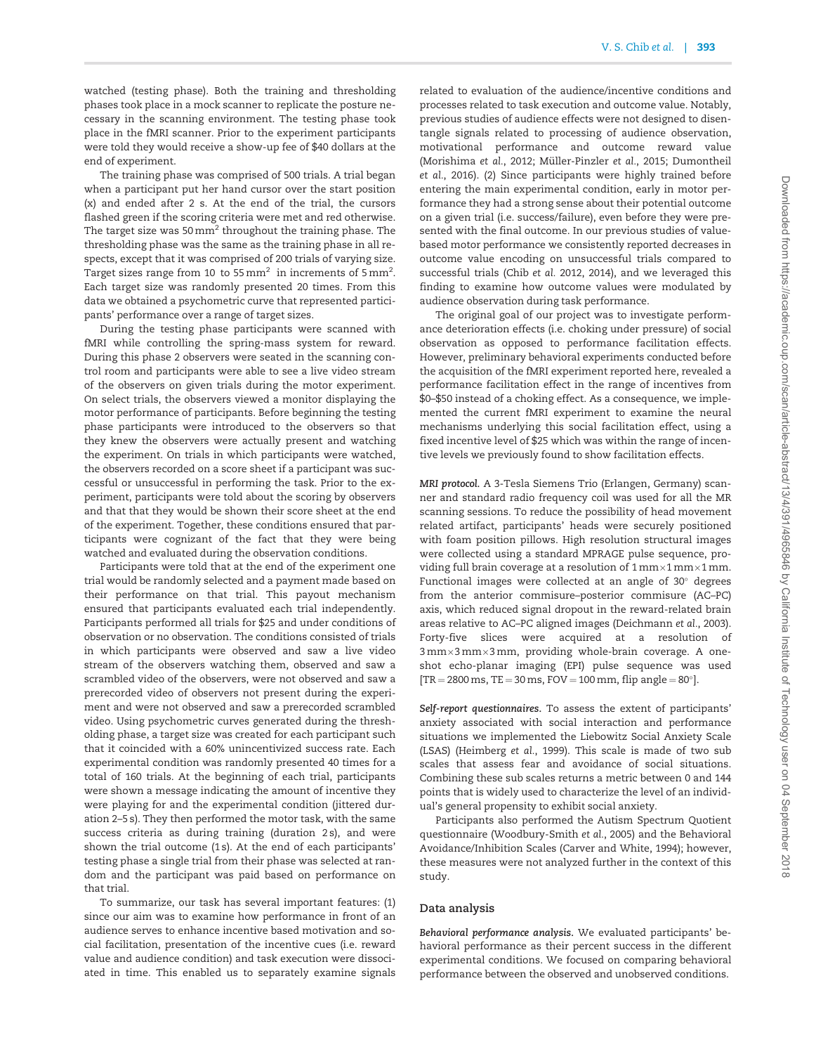watched (testing phase). Both the training and thresholding phases took place in a mock scanner to replicate the posture necessary in the scanning environment. The testing phase took place in the fMRI scanner. Prior to the experiment participants were told they would receive a show-up fee of \$40 dollars at the end of experiment.

The training phase was comprised of 500 trials. A trial began when a participant put her hand cursor over the start position (x) and ended after 2 s. At the end of the trial, the cursors flashed green if the scoring criteria were met and red otherwise. The target size was 50 mm<sup>2</sup> throughout the training phase. The thresholding phase was the same as the training phase in all respects, except that it was comprised of 200 trials of varying size. Target sizes range from 10 to 55 mm $^2\,$  in increments of 5 mm $^2\,$ Each target size was randomly presented 20 times. From this data we obtained a psychometric curve that represented participants' performance over a range of target sizes.

During the testing phase participants were scanned with fMRI while controlling the spring-mass system for reward. During this phase 2 observers were seated in the scanning control room and participants were able to see a live video stream of the observers on given trials during the motor experiment. On select trials, the observers viewed a monitor displaying the motor performance of participants. Before beginning the testing phase participants were introduced to the observers so that they knew the observers were actually present and watching the experiment. On trials in which participants were watched, the observers recorded on a score sheet if a participant was successful or unsuccessful in performing the task. Prior to the experiment, participants were told about the scoring by observers and that that they would be shown their score sheet at the end of the experiment. Together, these conditions ensured that participants were cognizant of the fact that they were being watched and evaluated during the observation conditions.

Participants were told that at the end of the experiment one trial would be randomly selected and a payment made based on their performance on that trial. This payout mechanism ensured that participants evaluated each trial independently. Participants performed all trials for \$25 and under conditions of observation or no observation. The conditions consisted of trials in which participants were observed and saw a live video stream of the observers watching them, observed and saw a scrambled video of the observers, were not observed and saw a prerecorded video of observers not present during the experiment and were not observed and saw a prerecorded scrambled video. Using psychometric curves generated during the thresholding phase, a target size was created for each participant such that it coincided with a 60% unincentivized success rate. Each experimental condition was randomly presented 40 times for a total of 160 trials. At the beginning of each trial, participants were shown a message indicating the amount of incentive they were playing for and the experimental condition (jittered duration 2–5 s). They then performed the motor task, with the same success criteria as during training (duration 2 s), and were shown the trial outcome (1 s). At the end of each participants' testing phase a single trial from their phase was selected at random and the participant was paid based on performance on that trial.

To summarize, our task has several important features: (1) since our aim was to examine how performance in front of an audience serves to enhance incentive based motivation and social facilitation, presentation of the incentive cues (i.e. reward value and audience condition) and task execution were dissociated in time. This enabled us to separately examine signals

related to evaluation of the audience/incentive conditions and processes related to task execution and outcome value. Notably, previous studies of audience effects were not designed to disentangle signals related to processing of audience observation, motivational performance and outcome reward value [\(Morishima](#page-11-0) et al., 2012; Müller-Pinzler et al., 2015; [Dumontheil](#page-11-0) et al.[, 2016](#page-11-0)). (2) Since participants were highly trained before entering the main experimental condition, early in motor performance they had a strong sense about their potential outcome on a given trial (i.e. success/failure), even before they were presented with the final outcome. In our previous studies of valuebased motor performance we consistently reported decreases in outcome value encoding on unsuccessful trials compared to successful trials (Chib [et al.](#page-11-0) 2012, [2014\)](#page-11-0), and we leveraged this finding to examine how outcome values were modulated by audience observation during task performance.

The original goal of our project was to investigate performance deterioration effects (i.e. choking under pressure) of social observation as opposed to performance facilitation effects. However, preliminary behavioral experiments conducted before the acquisition of the fMRI experiment reported here, revealed a performance facilitation effect in the range of incentives from \$0–\$50 instead of a choking effect. As a consequence, we implemented the current fMRI experiment to examine the neural mechanisms underlying this social facilitation effect, using a fixed incentive level of \$25 which was within the range of incentive levels we previously found to show facilitation effects.

MRI protocol. A 3-Tesla Siemens Trio (Erlangen, Germany) scanner and standard radio frequency coil was used for all the MR scanning sessions. To reduce the possibility of head movement related artifact, participants' heads were securely positioned with foam position pillows. High resolution structural images were collected using a standard MPRAGE pulse sequence, providing full brain coverage at a resolution of  $1\,\mathrm{mm}\times1\,\mathrm{mm}\times1\,\mathrm{mm}$ . Functional images were collected at an angle of 30° degrees from the anterior commisure–posterior commisure (AC–PC) axis, which reduced signal dropout in the reward-related brain areas relative to AC–PC aligned images [\(Deichmann](#page-11-0) et al., 2003). Forty-five slices were acquired at a resolution of 3 mm-3 mm-3 mm, providing whole-brain coverage. A oneshot echo-planar imaging (EPI) pulse sequence was used  $[TR = 2800 \text{ ms}, TE = 30 \text{ ms}, FOV = 100 \text{ mm}, flip angle = 80^{\circ}].$ 

Self-report questionnaires. To assess the extent of participants' anxiety associated with social interaction and performance situations we implemented the Liebowitz Social Anxiety Scale (LSAS) [\(Heimberg](#page-11-0) et al., 1999). This scale is made of two sub scales that assess fear and avoidance of social situations. Combining these sub scales returns a metric between 0 and 144 points that is widely used to characterize the level of an individual's general propensity to exhibit social anxiety.

Participants also performed the Autism Spectrum Quotient questionnaire ([Woodbury-Smith](#page-12-0) et al., 2005) and the Behavioral Avoidance/Inhibition Scales ([Carver and White, 1994\)](#page-11-0); however, these measures were not analyzed further in the context of this study.

## Data analysis

Behavioral performance analysis. We evaluated participants' behavioral performance as their percent success in the different experimental conditions. We focused on comparing behavioral performance between the observed and unobserved conditions.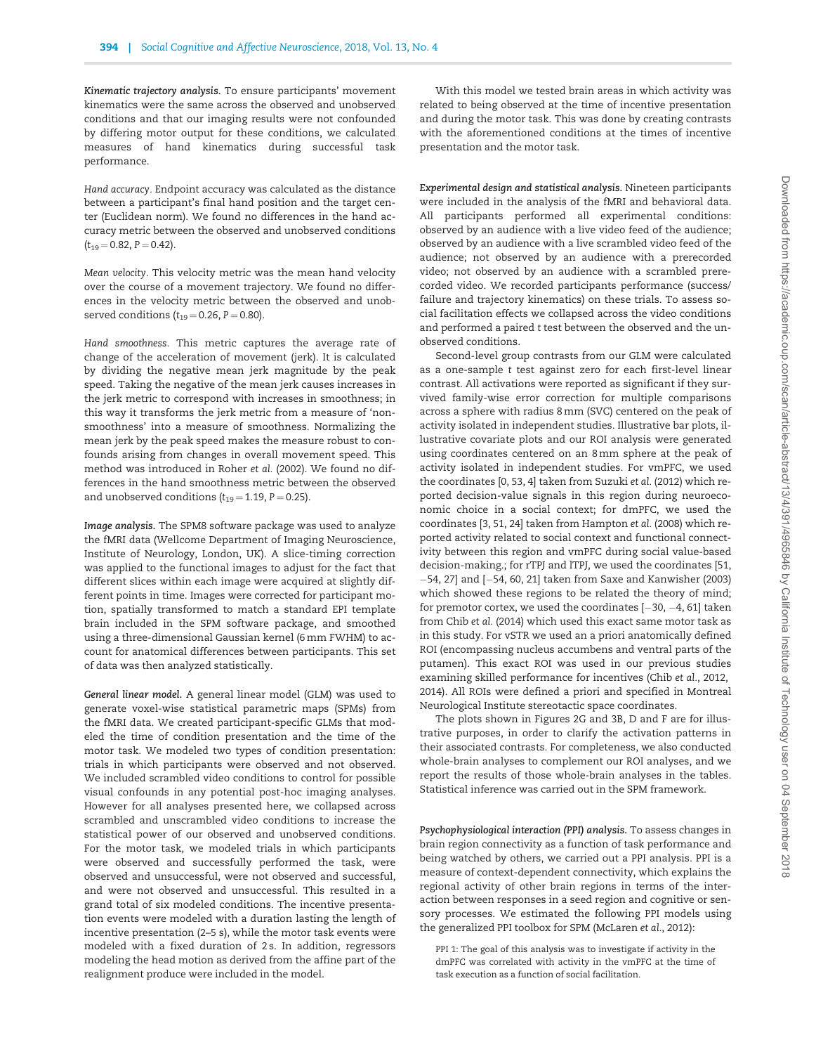Kinematic trajectory analysis. To ensure participants' movement kinematics were the same across the observed and unobserved conditions and that our imaging results were not confounded by differing motor output for these conditions, we calculated measures of hand kinematics during successful task performance.

Hand accuracy. Endpoint accuracy was calculated as the distance between a participant's final hand position and the target center (Euclidean norm). We found no differences in the hand accuracy metric between the observed and unobserved conditions  $(t_{19} = 0.82, P = 0.42).$ 

Mean velocity. This velocity metric was the mean hand velocity over the course of a movement trajectory. We found no differences in the velocity metric between the observed and unobserved conditions ( $t_{19} = 0.26$ , P = 0.80).

Hand smoothness. This metric captures the average rate of change of the acceleration of movement (jerk). It is calculated by dividing the negative mean jerk magnitude by the peak speed. Taking the negative of the mean jerk causes increases in the jerk metric to correspond with increases in smoothness; in this way it transforms the jerk metric from a measure of 'nonsmoothness' into a measure of smoothness. Normalizing the mean jerk by the peak speed makes the measure robust to confounds arising from changes in overall movement speed. This method was introduced in Roher et al. [\(2002\).](#page-12-0) We found no differences in the hand smoothness metric between the observed and unobserved conditions  $(t_{19} = 1.19, P = 0.25)$ .

Image analysis. The SPM8 software package was used to analyze the fMRI data (Wellcome Department of Imaging Neuroscience, Institute of Neurology, London, UK). A slice-timing correction was applied to the functional images to adjust for the fact that different slices within each image were acquired at slightly different points in time. Images were corrected for participant motion, spatially transformed to match a standard EPI template brain included in the SPM software package, and smoothed using a three-dimensional Gaussian kernel (6 mm FWHM) to account for anatomical differences between participants. This set of data was then analyzed statistically.

General linear model. A general linear model (GLM) was used to generate voxel-wise statistical parametric maps (SPMs) from the fMRI data. We created participant-specific GLMs that modeled the time of condition presentation and the time of the motor task. We modeled two types of condition presentation: trials in which participants were observed and not observed. We included scrambled video conditions to control for possible visual confounds in any potential post-hoc imaging analyses. However for all analyses presented here, we collapsed across scrambled and unscrambled video conditions to increase the statistical power of our observed and unobserved conditions. For the motor task, we modeled trials in which participants were observed and successfully performed the task, were observed and unsuccessful, were not observed and successful, and were not observed and unsuccessful. This resulted in a grand total of six modeled conditions. The incentive presentation events were modeled with a duration lasting the length of incentive presentation (2–5 s), while the motor task events were modeled with a fixed duration of 2 s. In addition, regressors modeling the head motion as derived from the affine part of the realignment produce were included in the model.

With this model we tested brain areas in which activity was related to being observed at the time of incentive presentation and during the motor task. This was done by creating contrasts with the aforementioned conditions at the times of incentive presentation and the motor task.

Experimental design and statistical analysis. Nineteen participants were included in the analysis of the fMRI and behavioral data. All participants performed all experimental conditions: observed by an audience with a live video feed of the audience; observed by an audience with a live scrambled video feed of the audience; not observed by an audience with a prerecorded video; not observed by an audience with a scrambled prerecorded video. We recorded participants performance (success/ failure and trajectory kinematics) on these trials. To assess social facilitation effects we collapsed across the video conditions and performed a paired t test between the observed and the unobserved conditions.

Second-level group contrasts from our GLM were calculated as a one-sample t test against zero for each first-level linear contrast. All activations were reported as significant if they survived family-wise error correction for multiple comparisons across a sphere with radius 8 mm (SVC) centered on the peak of activity isolated in independent studies. Illustrative bar plots, illustrative covariate plots and our ROI analysis were generated using coordinates centered on an 8 mm sphere at the peak of activity isolated in independent studies. For vmPFC, we used the coordinates [0, 53, 4] taken from [Suzuki](#page-12-0) et al. (2012) which reported decision-value signals in this region during neuroeconomic choice in a social context; for dmPFC, we used the coordinates [3, 51, 24] taken from [Hampton](#page-11-0) et al. (2008) which reported activity related to social context and functional connectivity between this region and vmPFC during social value-based decision-making.; for rTPJ and lTPJ, we used the coordinates [51,  $-54$ , 27] and  $[-54, 60, 21]$  taken from [Saxe and Kanwisher \(2003\)](#page-12-0) which showed these regions to be related the theory of mind; for premotor cortex, we used the coordinates  $[-30, -4, 61]$  taken from Chib et al. [\(2014\)](#page-11-0) which used this exact same motor task as in this study. For vSTR we used an a priori anatomically defined ROI (encompassing nucleus accumbens and ventral parts of the putamen). This exact ROI was used in our previous studies examining skilled performance for incentives (Chib et al.[, 2012,](#page-11-0) [2014\)](#page-11-0). All ROIs were defined a priori and specified in Montreal Neurological Institute stereotactic space coordinates.

The plots shown in Figures 2G and 3B, D and F are for illustrative purposes, in order to clarify the activation patterns in their associated contrasts. For completeness, we also conducted whole-brain analyses to complement our ROI analyses, and we report the results of those whole-brain analyses in the tables. Statistical inference was carried out in the SPM framework.

Psychophysiological interaction (PPI) analysis. To assess changes in brain region connectivity as a function of task performance and being watched by others, we carried out a PPI analysis. PPI is a measure of context-dependent connectivity, which explains the regional activity of other brain regions in terms of the interaction between responses in a seed region and cognitive or sensory processes. We estimated the following PPI models using the generalized PPI toolbox for SPM ([McLaren](#page-11-0) et al., 2012):

PPI 1: The goal of this analysis was to investigate if activity in the dmPFC was correlated with activity in the vmPFC at the time of task execution as a function of social facilitation.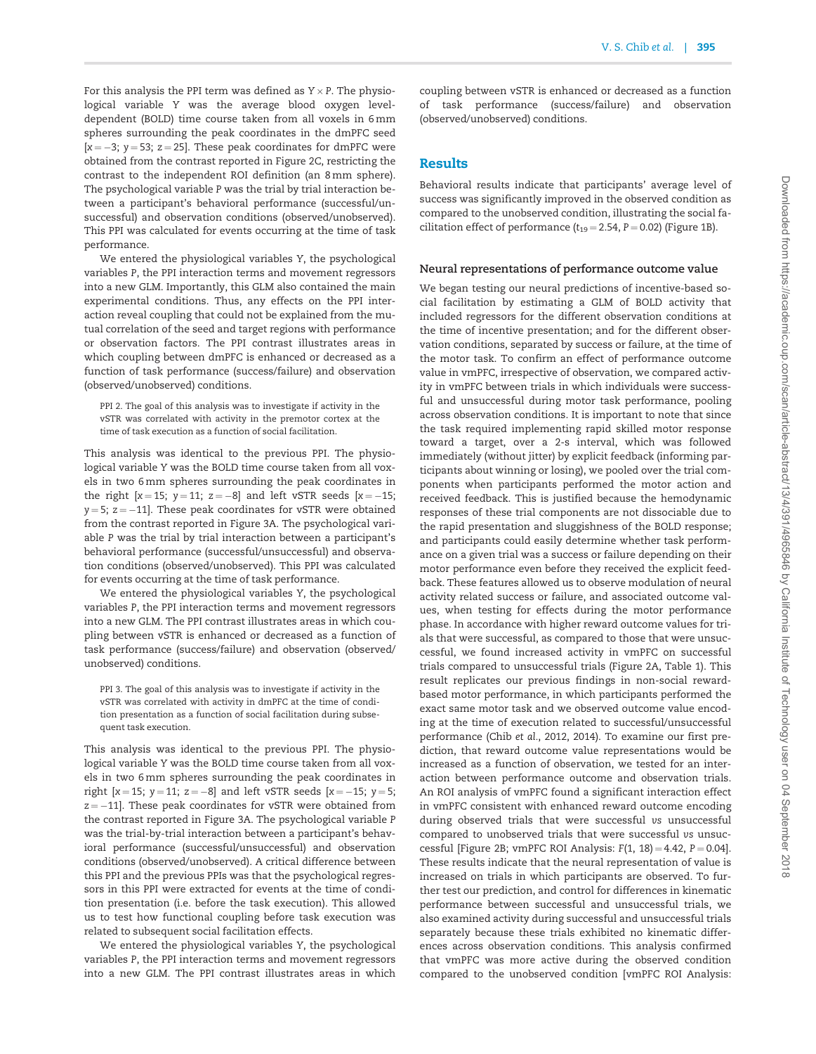For this analysis the PPI term was defined as Y $\times$ P. The physiological variable Y was the average blood oxygen leveldependent (BOLD) time course taken from all voxels in 6 mm spheres surrounding the peak coordinates in the dmPFC seed  $[x = -3; y = 53; z = 25]$ . These peak coordinates for dmPFC were obtained from the contrast reported in [Figure 2C](#page-6-0), restricting the contrast to the independent ROI definition (an 8 mm sphere). The psychological variable P was the trial by trial interaction between a participant's behavioral performance (successful/unsuccessful) and observation conditions (observed/unobserved). This PPI was calculated for events occurring at the time of task performance.

We entered the physiological variables Y, the psychological variables P, the PPI interaction terms and movement regressors into a new GLM. Importantly, this GLM also contained the main experimental conditions. Thus, any effects on the PPI interaction reveal coupling that could not be explained from the mutual correlation of the seed and target regions with performance or observation factors. The PPI contrast illustrates areas in which coupling between dmPFC is enhanced or decreased as a function of task performance (success/failure) and observation (observed/unobserved) conditions.

PPI 2. The goal of this analysis was to investigate if activity in the vSTR was correlated with activity in the premotor cortex at the time of task execution as a function of social facilitation.

This analysis was identical to the previous PPI. The physiological variable Y was the BOLD time course taken from all voxels in two 6 mm spheres surrounding the peak coordinates in the right  $[x = 15; y = 11; z = -8]$  and left vSTR seeds  $[x = -15;$  $y = 5$ ;  $z = -11$ ]. These peak coordinates for vSTR were obtained from the contrast reported in [Figure 3A](#page-7-0). The psychological variable P was the trial by trial interaction between a participant's behavioral performance (successful/unsuccessful) and observation conditions (observed/unobserved). This PPI was calculated for events occurring at the time of task performance.

We entered the physiological variables Y, the psychological variables P, the PPI interaction terms and movement regressors into a new GLM. The PPI contrast illustrates areas in which coupling between vSTR is enhanced or decreased as a function of task performance (success/failure) and observation (observed/ unobserved) conditions.

PPI 3. The goal of this analysis was to investigate if activity in the vSTR was correlated with activity in dmPFC at the time of condition presentation as a function of social facilitation during subsequent task execution.

This analysis was identical to the previous PPI. The physiological variable Y was the BOLD time course taken from all voxels in two 6 mm spheres surrounding the peak coordinates in right  $[x = 15; y = 11; z = -8]$  and left vSTR seeds  $[x = -15; y = 5;$  $z = -11$ ]. These peak coordinates for vSTR were obtained from the contrast reported in [Figure 3A](#page-7-0). The psychological variable P was the trial-by-trial interaction between a participant's behavioral performance (successful/unsuccessful) and observation conditions (observed/unobserved). A critical difference between this PPI and the previous PPIs was that the psychological regressors in this PPI were extracted for events at the time of condition presentation (i.e. before the task execution). This allowed us to test how functional coupling before task execution was related to subsequent social facilitation effects.

We entered the physiological variables Y, the psychological variables P, the PPI interaction terms and movement regressors into a new GLM. The PPI contrast illustrates areas in which coupling between vSTR is enhanced or decreased as a function of task performance (success/failure) and observation (observed/unobserved) conditions.

# Results

Behavioral results indicate that participants' average level of success was significantly improved in the observed condition as compared to the unobserved condition, illustrating the social facilitation effect of performance ( $t_{19} = 2.54$ , P = 0.02) [\(Figure 1B\)](#page-5-0).

#### Neural representations of performance outcome value

We began testing our neural predictions of incentive-based social facilitation by estimating a GLM of BOLD activity that included regressors for the different observation conditions at the time of incentive presentation; and for the different observation conditions, separated by success or failure, at the time of the motor task. To confirm an effect of performance outcome value in vmPFC, irrespective of observation, we compared activity in vmPFC between trials in which individuals were successful and unsuccessful during motor task performance, pooling across observation conditions. It is important to note that since the task required implementing rapid skilled motor response toward a target, over a 2-s interval, which was followed immediately (without jitter) by explicit feedback (informing participants about winning or losing), we pooled over the trial components when participants performed the motor action and received feedback. This is justified because the hemodynamic responses of these trial components are not dissociable due to the rapid presentation and sluggishness of the BOLD response; and participants could easily determine whether task performance on a given trial was a success or failure depending on their motor performance even before they received the explicit feedback. These features allowed us to observe modulation of neural activity related success or failure, and associated outcome values, when testing for effects during the motor performance phase. In accordance with higher reward outcome values for trials that were successful, as compared to those that were unsuccessful, we found increased activity in vmPFC on successful trials compared to unsuccessful trials ([Figure 2A,](#page-6-0) [Table 1](#page-8-0)). This result replicates our previous findings in non-social rewardbased motor performance, in which participants performed the exact same motor task and we observed outcome value encoding at the time of execution related to successful/unsuccessful performance (Chib et al.[, 2012, 2014\)](#page-11-0). To examine our first prediction, that reward outcome value representations would be increased as a function of observation, we tested for an interaction between performance outcome and observation trials. An ROI analysis of vmPFC found a significant interaction effect in vmPFC consistent with enhanced reward outcome encoding during observed trials that were successful vs unsuccessful compared to unobserved trials that were successful vs unsuc-cessful [[Figure 2B;](#page-6-0) vmPFC ROI Analysis:  $F(1, 18) = 4.42$ ,  $P = 0.04$ ]. These results indicate that the neural representation of value is increased on trials in which participants are observed. To further test our prediction, and control for differences in kinematic performance between successful and unsuccessful trials, we also examined activity during successful and unsuccessful trials separately because these trials exhibited no kinematic differences across observation conditions. This analysis confirmed that vmPFC was more active during the observed condition compared to the unobserved condition [vmPFC ROI Analysis: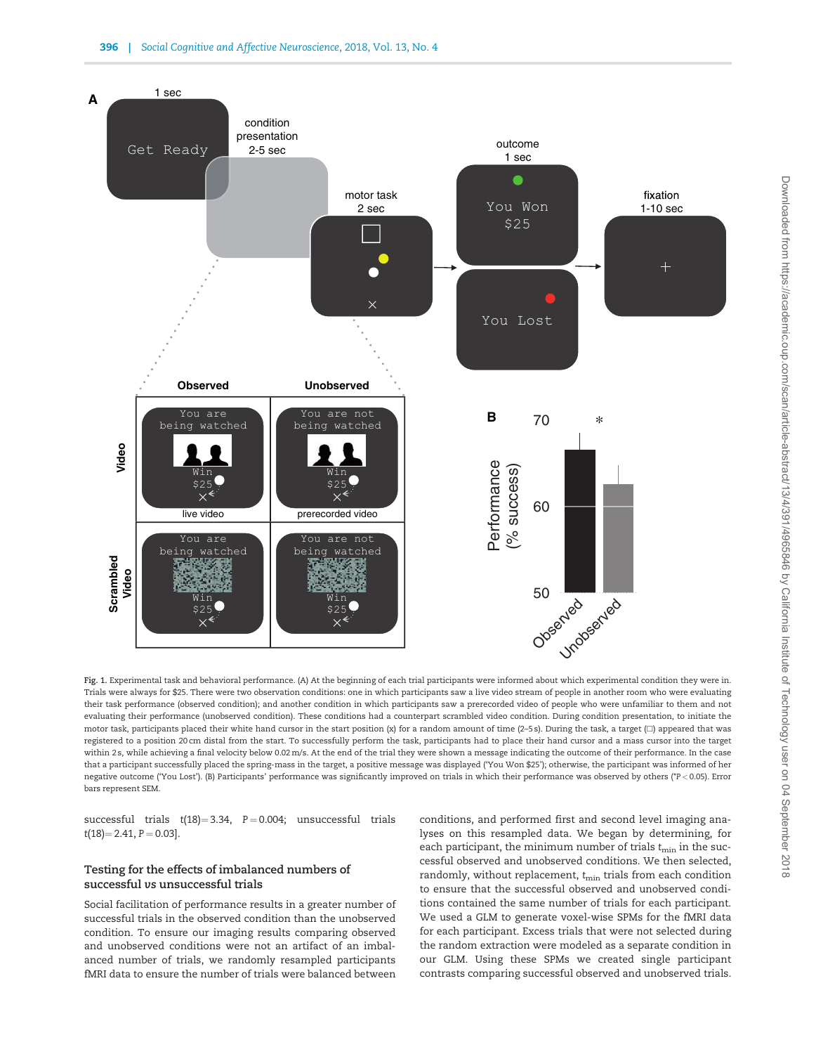<span id="page-5-0"></span>

Fig. 1. Experimental task and behavioral performance. (A) At the beginning of each trial participants were informed about which experimental condition they were in. Trials were always for \$25. There were two observation conditions: one in which participants saw a live video stream of people in another room who were evaluating their task performance (observed condition); and another condition in which participants saw a prerecorded video of people who were unfamiliar to them and not evaluating their performance (unobserved condition). These conditions had a counterpart scrambled video condition. During condition presentation, to initiate the motor task, participants placed their white hand cursor in the start position (x) for a random amount of time (2-5 s). During the task, a target ( $\square$ ) appeared that was registered to a position 20 cm distal from the start. To successfully perform the task, participants had to place their hand cursor and a mass cursor into the target within 2 s, while achieving a final velocity below 0.02 m/s. At the end of the trial they were shown a message indicating the outcome of their performance. In the case that a participant successfully placed the spring-mass in the target, a positive message was displayed ('You Won \$25'); otherwise, the participant was informed of her negative outcome ('You Lost'). (B) Participants' performance was significantly improved on trials in which their performance was observed by others (\*P < 0.05). Error bars represent SEM.

successful trials  $t(18) = 3.34$ ,  $P = 0.004$ ; unsuccessful trials  $t(18) = 2.41$ ,  $P = 0.03$ ].

## Testing for the effects of imbalanced numbers of successful vs unsuccessful trials

Social facilitation of performance results in a greater number of successful trials in the observed condition than the unobserved condition. To ensure our imaging results comparing observed and unobserved conditions were not an artifact of an imbalanced number of trials, we randomly resampled participants fMRI data to ensure the number of trials were balanced between conditions, and performed first and second level imaging analyses on this resampled data. We began by determining, for each participant, the minimum number of trials  $t_{\min}$  in the successful observed and unobserved conditions. We then selected, randomly, without replacement,  $t_{\min}$  trials from each condition to ensure that the successful observed and unobserved conditions contained the same number of trials for each participant. We used a GLM to generate voxel-wise SPMs for the fMRI data for each participant. Excess trials that were not selected during the random extraction were modeled as a separate condition in our GLM. Using these SPMs we created single participant contrasts comparing successful observed and unobserved trials.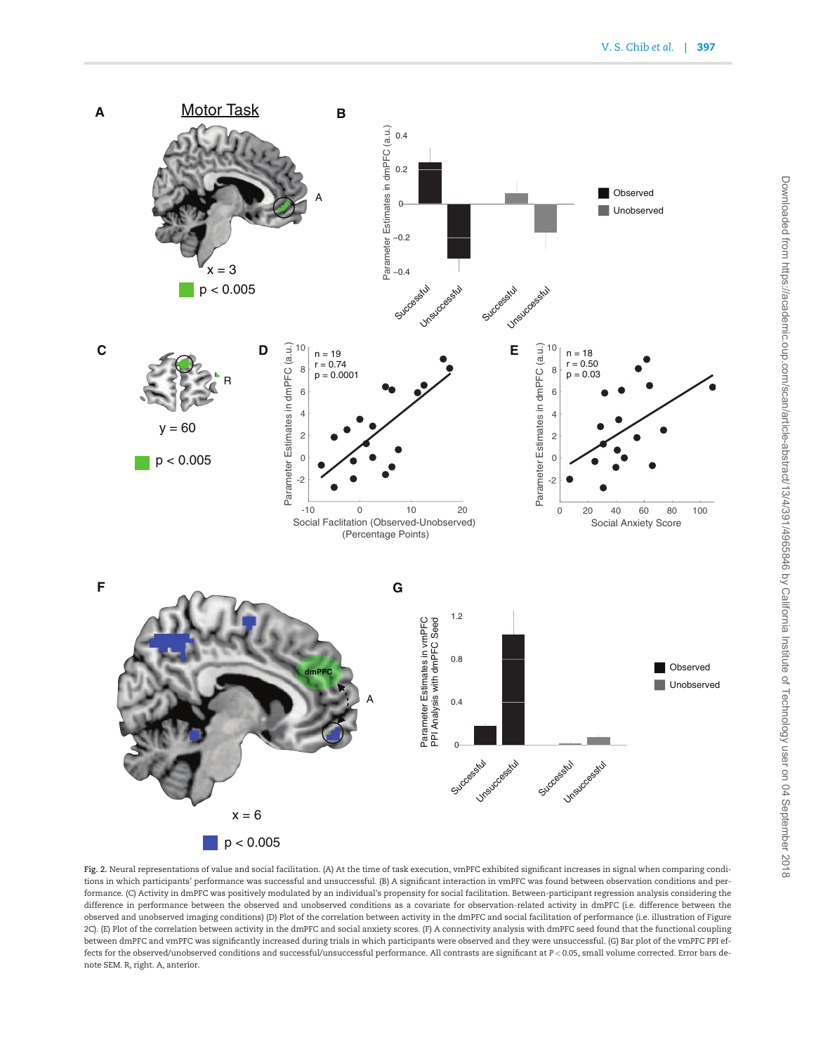<span id="page-6-0"></span>

Fig. 2. Neural representations of value and social facilitation. (A) At the time of task execution, vmPFC exhibited significant increases in signal when comparing conditions in which participants' performance was successful and unsuccessful. (B) A significant interaction in vmPFC was found between observation conditions and performance. (C) Activity in dmPFC was positively modulated by an individual's propensity for social facilitation. Between-participant regression analysis considering the difference in performance between the observed and unobserved conditions as a covariate for observation-related activity in dmPFC (i.e. difference between the observed and unobserved imaging conditions) (D) Plot of the correlation between activity in the dmPFC and social facilitation of performance (i.e. illustration of Figure 2C). (E) Plot of the correlation between activity in the dmPFC and social anxiety scores. (F) A connectivity analysis with dmPFC seed found that the functional coupling between dmPFC and vmPFC was significantly increased during trials in which participants were observed and they were unsuccessful. (G) Bar plot of the vmPFC PPI effects for the observed/unobserved conditions and successful/unsuccessful performance. All contrasts are significant at P < 0.05, small volume corrected. Error bars denote SEM. R, right. A, anterior.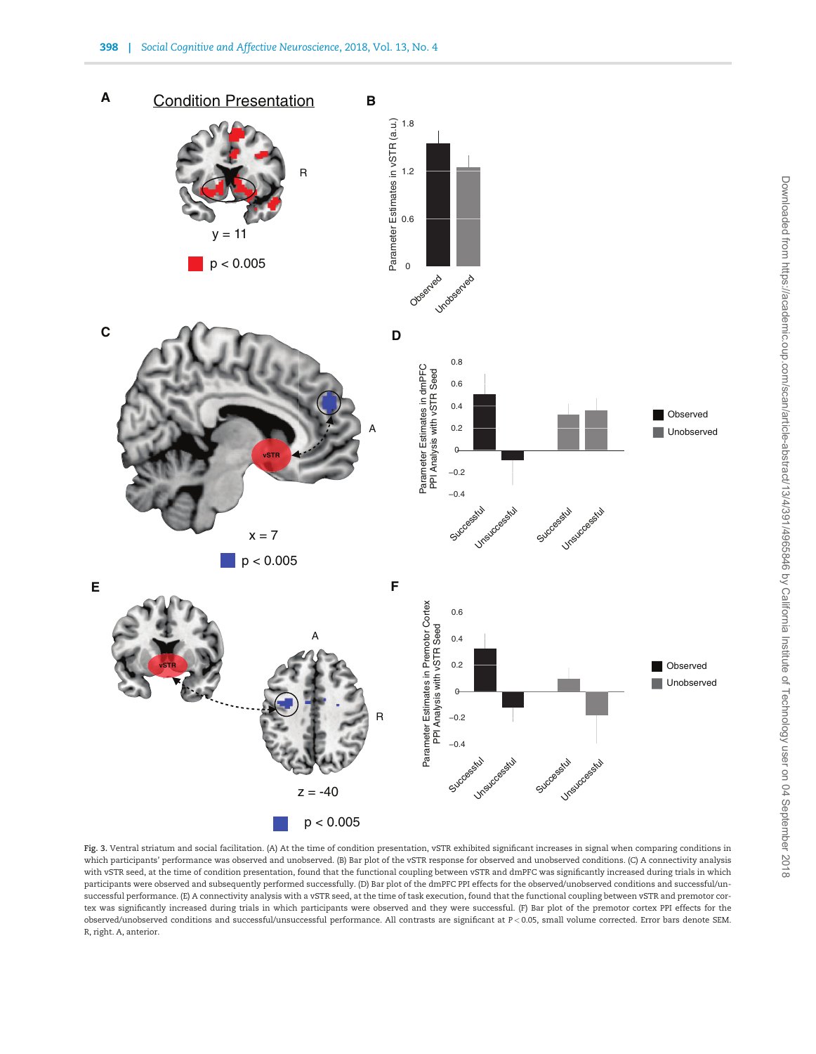<span id="page-7-0"></span>

Fig. 3. Ventral striatum and social facilitation. (A) At the time of condition presentation, vSTR exhibited significant increases in signal when comparing conditions in which participants' performance was observed and unobserved. (B) Bar plot of the vSTR response for observed and unobserved conditions. (C) A connectivity analysis with vSTR seed, at the time of condition presentation, found that the functional coupling between vSTR and dmPFC was significantly increased during trials in which participants were observed and subsequently performed successfully. (D) Bar plot of the dmPFC PPI effects for the observed/unobserved conditions and successful/unsuccessful performance. (E) A connectivity analysis with a vSTR seed, at the time of task execution, found that the functional coupling between vSTR and premotor cortex was significantly increased during trials in which participants were observed and they were successful. (F) Bar plot of the premotor cortex PPI effects for the observed/unobserved conditions and successful/unsuccessful performance. All contrasts are significant at P < 0.05, small volume corrected. Error bars denote SEM. R, right. A, anterior.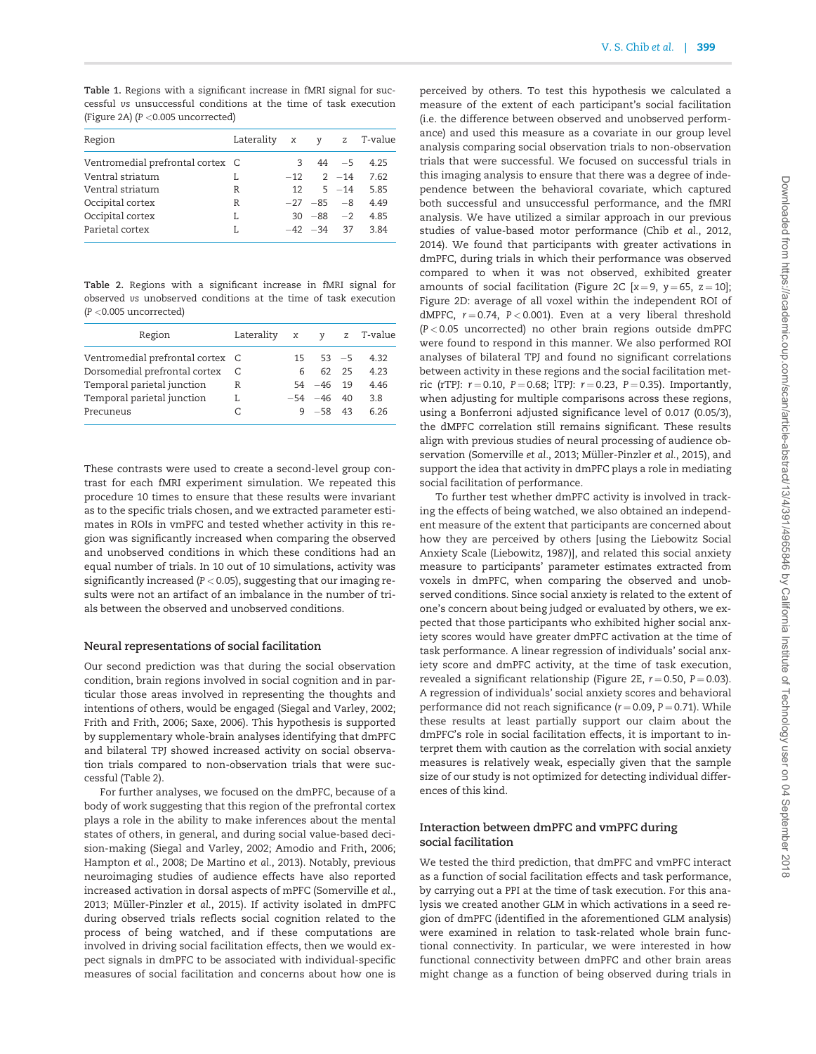<span id="page-8-0"></span>Table 1. Regions with a significant increase in fMRI signal for successful vs unsuccessful conditions at the time of task execution [\(Figure 2A](#page-6-0)) (P <0.005 uncorrected)

| Region                           | Laterality x y z T-value |   |                  |          |      |
|----------------------------------|--------------------------|---|------------------|----------|------|
| Ventromedial prefrontal cortex C |                          | 3 |                  | $44 - 5$ | 4.25 |
| Ventral striatum                 | L                        |   | $-12$ 2 $-14$    |          | 7.62 |
| Ventral striatum                 | R                        |   | $12 \quad 5 -14$ |          | 5.85 |
| Occipital cortex                 | R                        |   | $-27 -85 -8$     |          | 4.49 |
| Occipital cortex                 | L                        |   | $30 - 88 - 2$    |          | 4.85 |
| Parietal cortex                  | L                        |   | $-42$ $-34$ 37   |          | 3.84 |

Table 2. Regions with a significant increase in fMRI signal for observed vs unobserved conditions at the time of task execution (P <0.005 uncorrected)

| Region                           | Laterality x y |    |                  |       | z T-value |
|----------------------------------|----------------|----|------------------|-------|-----------|
| Ventromedial prefrontal cortex C |                |    | $15 \t 53 \t -5$ |       | 4.32      |
| Dorsomedial prefrontal cortex    |                | 6. |                  | 62 25 | 4.23      |
| Temporal parietal junction       | R              |    | $54 - 46$ 19     |       | 446       |
| Temporal parietal junction       | L              |    | $-54 - 46$ 40    |       | 3.8       |
| Precuneus                        |                |    | $9 - 58$ 43      |       | 6 26      |

These contrasts were used to create a second-level group contrast for each fMRI experiment simulation. We repeated this procedure 10 times to ensure that these results were invariant as to the specific trials chosen, and we extracted parameter estimates in ROIs in vmPFC and tested whether activity in this region was significantly increased when comparing the observed and unobserved conditions in which these conditions had an equal number of trials. In 10 out of 10 simulations, activity was significantly increased ( $P < 0.05$ ), suggesting that our imaging results were not an artifact of an imbalance in the number of trials between the observed and unobserved conditions.

## Neural representations of social facilitation

Our second prediction was that during the social observation condition, brain regions involved in social cognition and in particular those areas involved in representing the thoughts and intentions of others, would be engaged ([Siegal and Varley, 2002](#page-12-0); [Frith and Frith, 2006;](#page-11-0) [Saxe, 2006](#page-12-0)). This hypothesis is supported by supplementary whole-brain analyses identifying that dmPFC and bilateral TPJ showed increased activity on social observation trials compared to non-observation trials that were successful (Table 2).

For further analyses, we focused on the dmPFC, because of a body of work suggesting that this region of the prefrontal cortex plays a role in the ability to make inferences about the mental states of others, in general, and during social value-based decision-making ([Siegal and Varley, 2002;](#page-12-0) [Amodio and Frith, 2006](#page-10-0); [Hampton](#page-11-0) et al., 2008; [De Martino](#page-11-0) et al., 2013). Notably, previous neuroimaging studies of audience effects have also reported increased activation in dorsal aspects of mPFC ([Somerville](#page-12-0) et al., [2013;](#page-12-0) Müller-Pinzler et al., 2015). If activity isolated in dmPFC during observed trials reflects social cognition related to the process of being watched, and if these computations are involved in driving social facilitation effects, then we would expect signals in dmPFC to be associated with individual-specific measures of social facilitation and concerns about how one is

perceived by others. To test this hypothesis we calculated a measure of the extent of each participant's social facilitation (i.e. the difference between observed and unobserved performance) and used this measure as a covariate in our group level analysis comparing social observation trials to non-observation trials that were successful. We focused on successful trials in this imaging analysis to ensure that there was a degree of independence between the behavioral covariate, which captured both successful and unsuccessful performance, and the fMRI analysis. We have utilized a similar approach in our previous studies of value-based motor performance (Chib et al.[, 2012](#page-11-0), [2014\)](#page-11-0). We found that participants with greater activations in dmPFC, during trials in which their performance was observed compared to when it was not observed, exhibited greater amounts of social facilitation ([Figure 2C](#page-6-0)  $[x = 9, y = 65, z = 10]$ ; [Figure 2D:](#page-6-0) average of all voxel within the independent ROI of dMPFC,  $r = 0.74$ ,  $P < 0.001$ ). Even at a very liberal threshold  $(P < 0.05$  uncorrected) no other brain regions outside dmPFC were found to respond in this manner. We also performed ROI analyses of bilateral TPJ and found no significant correlations between activity in these regions and the social facilitation metric (rTPJ:  $r = 0.10$ ,  $P = 0.68$ ; lTPJ:  $r = 0.23$ ,  $P = 0.35$ ). Importantly, when adjusting for multiple comparisons across these regions, using a Bonferroni adjusted significance level of 0.017 (0.05/3), the dMPFC correlation still remains significant. These results align with previous studies of neural processing of audience ob-servation [\(Somerville](#page-12-0) et al., 2013; Müller-Pinzler et al., 2015), and support the idea that activity in dmPFC plays a role in mediating social facilitation of performance.

To further test whether dmPFC activity is involved in tracking the effects of being watched, we also obtained an independent measure of the extent that participants are concerned about how they are perceived by others [using the Liebowitz Social Anxiety Scale [\(Liebowitz, 1987\)](#page-11-0)], and related this social anxiety measure to participants' parameter estimates extracted from voxels in dmPFC, when comparing the observed and unobserved conditions. Since social anxiety is related to the extent of one's concern about being judged or evaluated by others, we expected that those participants who exhibited higher social anxiety scores would have greater dmPFC activation at the time of task performance. A linear regression of individuals' social anxiety score and dmPFC activity, at the time of task execution, revealed a significant relationship ([Figure 2E](#page-6-0),  $r = 0.50$ ,  $P = 0.03$ ). A regression of individuals' social anxiety scores and behavioral performance did not reach significance  $(r = 0.09, P = 0.71)$ . While these results at least partially support our claim about the dmPFC's role in social facilitation effects, it is important to interpret them with caution as the correlation with social anxiety measures is relatively weak, especially given that the sample size of our study is not optimized for detecting individual differences of this kind.

## Interaction between dmPFC and vmPFC during social facilitation

We tested the third prediction, that dmPFC and vmPFC interact as a function of social facilitation effects and task performance, by carrying out a PPI at the time of task execution. For this analysis we created another GLM in which activations in a seed region of dmPFC (identified in the aforementioned GLM analysis) were examined in relation to task-related whole brain functional connectivity. In particular, we were interested in how functional connectivity between dmPFC and other brain areas might change as a function of being observed during trials in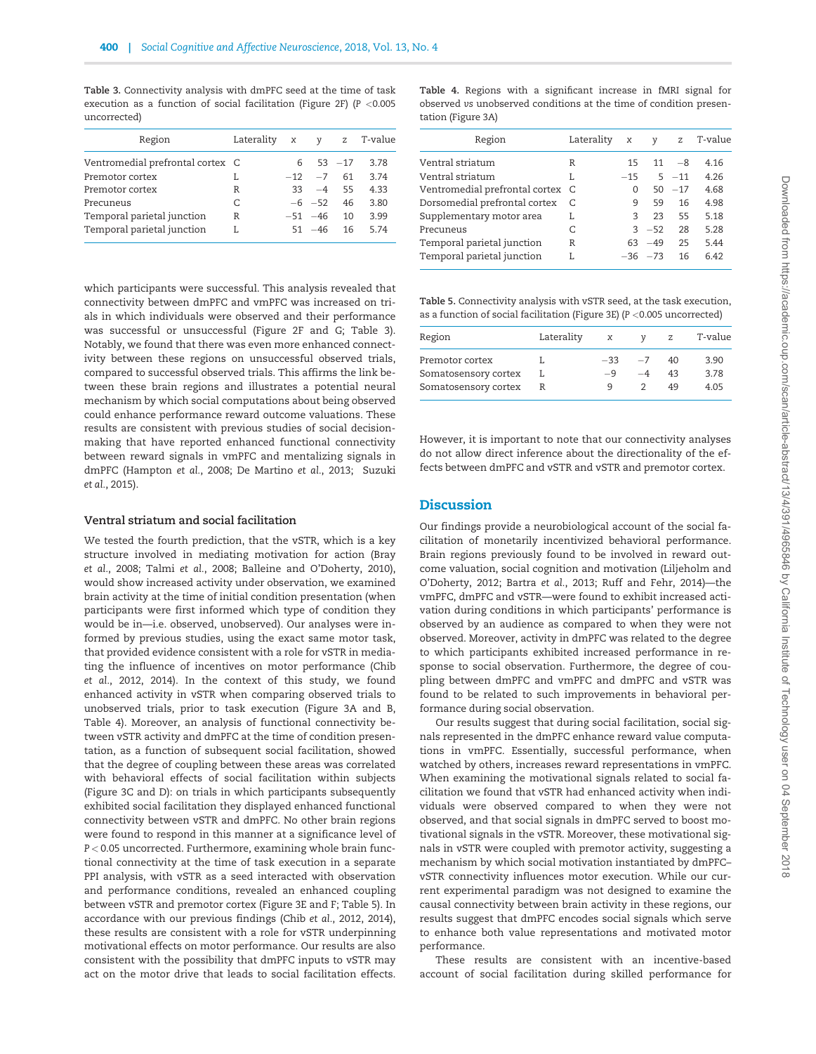Table 3. Connectivity analysis with dmPFC seed at the time of task execution as a function of social facilitation ([Figure 2F](#page-6-0)) ( $P < 0.005$ uncorrected)

| Region                           | Laterality x y |                      |    | z T-value |
|----------------------------------|----------------|----------------------|----|-----------|
| Ventromedial prefrontal cortex C |                | $6\quad 53\quad -17$ |    | 3.78      |
| Premotor cortex                  | L              | $-12 - 7$            | 61 | 3.74      |
| Premotor cortex                  | R              | $33 - 4$ 55          |    | 4.33      |
| Precuneus                        | C              | $-6$ $-52$           | 46 | 3.80      |
| Temporal parietal junction       | R              | $-51 - 46$           | 10 | 3.99      |
| Temporal parietal junction       | L              | $51 - 46$            | 16 | 5.74      |
|                                  |                |                      |    |           |

which participants were successful. This analysis revealed that connectivity between dmPFC and vmPFC was increased on trials in which individuals were observed and their performance was successful or unsuccessful [\(Figure 2F and G;](#page-6-0) Table 3). Notably, we found that there was even more enhanced connectivity between these regions on unsuccessful observed trials, compared to successful observed trials. This affirms the link between these brain regions and illustrates a potential neural mechanism by which social computations about being observed could enhance performance reward outcome valuations. These results are consistent with previous studies of social decisionmaking that have reported enhanced functional connectivity between reward signals in vmPFC and mentalizing signals in dmPFC ([Hampton](#page-11-0) et al., 2008; [De Martino](#page-11-0) et al., 2013; [Suzuki](#page-12-0) et al.[, 2015\)](#page-12-0).

#### Ventral striatum and social facilitation

We tested the fourth prediction, that the vSTR, which is a key structure involved in mediating motivation for action ([Bray](#page-11-0) et al.[, 2008;](#page-11-0) Talmi et al.[, 2008;](#page-12-0) [Balleine and O'Doherty, 2010\)](#page-11-0), would show increased activity under observation, we examined brain activity at the time of initial condition presentation (when participants were first informed which type of condition they would be in—i.e. observed, unobserved). Our analyses were informed by previous studies, using the exact same motor task, that provided evidence consistent with a role for vSTR in mediating the influence of incentives on motor performance [\(Chib](#page-11-0) et al.[, 2012, 2014\)](#page-11-0). In the context of this study, we found enhanced activity in vSTR when comparing observed trials to unobserved trials, prior to task execution [\(Figure 3A and B](#page-7-0), Table 4). Moreover, an analysis of functional connectivity between vSTR activity and dmPFC at the time of condition presentation, as a function of subsequent social facilitation, showed that the degree of coupling between these areas was correlated with behavioral effects of social facilitation within subjects [\(Figure 3C and D](#page-7-0)): on trials in which participants subsequently exhibited social facilitation they displayed enhanced functional connectivity between vSTR and dmPFC. No other brain regions were found to respond in this manner at a significance level of P < 0.05 uncorrected. Furthermore, examining whole brain functional connectivity at the time of task execution in a separate PPI analysis, with vSTR as a seed interacted with observation and performance conditions, revealed an enhanced coupling between vSTR and premotor cortex ([Figure 3E and F;](#page-7-0) Table 5). In accordance with our previous findings (Chib et al.[, 2012](#page-11-0), [2014\)](#page-11-0), these results are consistent with a role for vSTR underpinning motivational effects on motor performance. Our results are also consistent with the possibility that dmPFC inputs to vSTR may act on the motor drive that leads to social facilitation effects.

Table 4. Regions with a significant increase in fMRI signal for observed vs unobserved conditions at the time of condition presentation ([Figure 3A\)](#page-7-0)

| Region                           | Laterality | $\boldsymbol{\chi}$ | v         |          | z T-value |
|----------------------------------|------------|---------------------|-----------|----------|-----------|
| Ventral striatum                 | R          | 15                  | 11        | $-8$     | 4.16      |
| Ventral striatum                 | L          | $-15$               |           | $5 - 11$ | 4.26      |
| Ventromedial prefrontal cortex C |            | 0                   | 50        | $-17$    | 4.68      |
| Dorsomedial prefrontal cortex    |            | 9                   | 59        | 16       | 4.98      |
| Supplementary motor area         | L          | 3                   | 23        | 55       | 5.18      |
| Precuneus                        | C.         |                     | $3 - 52$  | 28       | 5.28      |
| Temporal parietal junction       | R          | 63                  | $-49$     | 25       | 5.44      |
| Temporal parietal junction       | L          |                     | $-36 -73$ | 16       | 6.42      |

Table 5. Connectivity analysis with vSTR seed, at the task execution, as a function of social facilitation ([Figure 3E\)](#page-7-0) (P  $<$  0.005 uncorrected)

| Region                                  | Laterality | $\boldsymbol{\mathsf{x}}$ | ν            | z        | T-value      |
|-----------------------------------------|------------|---------------------------|--------------|----------|--------------|
| Premotor cortex<br>Somatosensory cortex |            | $-33$<br>$-9$             | $-7$<br>$-4$ | 40<br>43 | 3.90<br>3.78 |
| Somatosensory cortex                    |            | Q                         |              | 49       | 4.05         |

However, it is important to note that our connectivity analyses do not allow direct inference about the directionality of the effects between dmPFC and vSTR and vSTR and premotor cortex.

#### **Discussion**

Our findings provide a neurobiological account of the social facilitation of monetarily incentivized behavioral performance. Brain regions previously found to be involved in reward outcome valuation, social cognition and motivation [\(Liljeholm and](#page-11-0) [O'Doherty, 2012; Bartra](#page-11-0) et al., 2013; [Ruff and Fehr, 2014](#page-12-0))—the vmPFC, dmPFC and vSTR—were found to exhibit increased activation during conditions in which participants' performance is observed by an audience as compared to when they were not observed. Moreover, activity in dmPFC was related to the degree to which participants exhibited increased performance in response to social observation. Furthermore, the degree of coupling between dmPFC and vmPFC and dmPFC and vSTR was found to be related to such improvements in behavioral performance during social observation.

Our results suggest that during social facilitation, social signals represented in the dmPFC enhance reward value computations in vmPFC. Essentially, successful performance, when watched by others, increases reward representations in vmPFC. When examining the motivational signals related to social facilitation we found that vSTR had enhanced activity when individuals were observed compared to when they were not observed, and that social signals in dmPFC served to boost motivational signals in the vSTR. Moreover, these motivational signals in vSTR were coupled with premotor activity, suggesting a mechanism by which social motivation instantiated by dmPFC– vSTR connectivity influences motor execution. While our current experimental paradigm was not designed to examine the causal connectivity between brain activity in these regions, our results suggest that dmPFC encodes social signals which serve to enhance both value representations and motivated motor performance.

These results are consistent with an incentive-based account of social facilitation during skilled performance for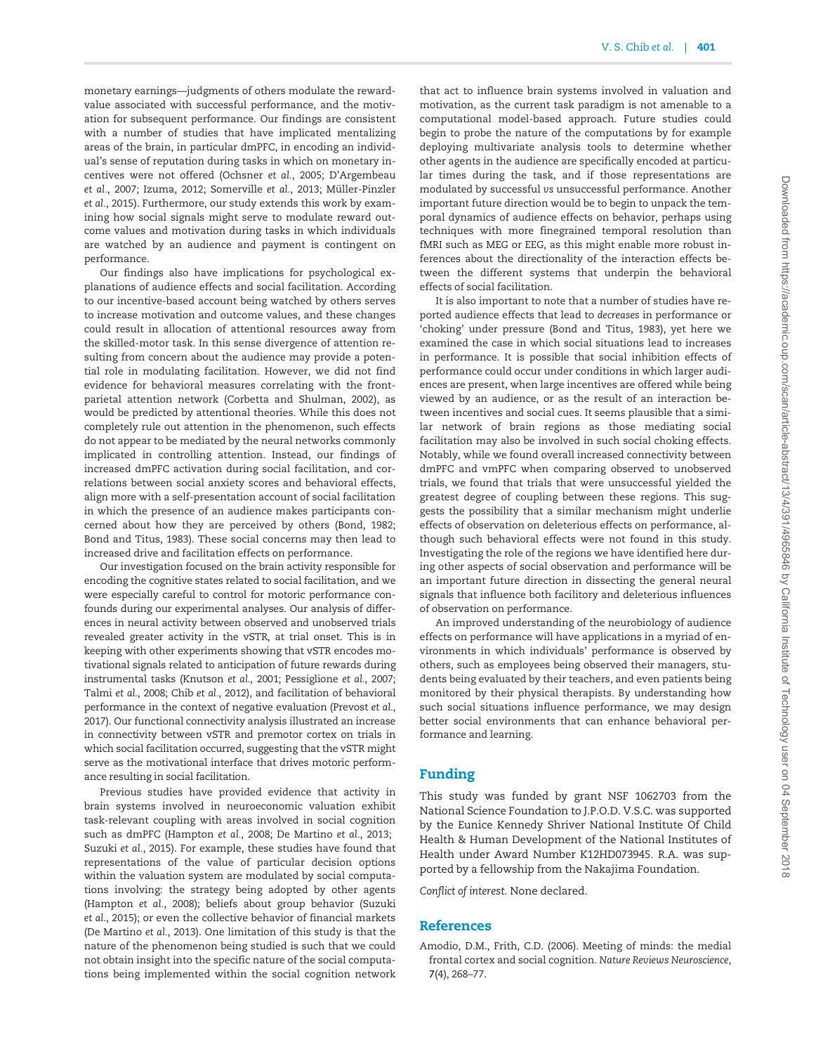<span id="page-10-0"></span>monetary earnings—judgments of others modulate the rewardvalue associated with successful performance, and the motivation for subsequent performance. Our findings are consistent with a number of studies that have implicated mentalizing areas of the brain, in particular dmPFC, in encoding an individual's sense of reputation during tasks in which on monetary incentives were not offered [\(Ochsner](#page-11-0) et al., 2005; [D'Argembeau](#page-11-0) et al.[, 2007; Izuma, 2012;](#page-11-0) [Somerville](#page-12-0) et al., 2013; Müller-Pinzler et al.[, 2015](#page-11-0)). Furthermore, our study extends this work by examining how social signals might serve to modulate reward outcome values and motivation during tasks in which individuals are watched by an audience and payment is contingent on performance.

Our findings also have implications for psychological explanations of audience effects and social facilitation. According to our incentive-based account being watched by others serves to increase motivation and outcome values, and these changes could result in allocation of attentional resources away from the skilled-motor task. In this sense divergence of attention resulting from concern about the audience may provide a potential role in modulating facilitation. However, we did not find evidence for behavioral measures correlating with the frontparietal attention network ([Corbetta and Shulman, 2002\)](#page-11-0), as would be predicted by attentional theories. While this does not completely rule out attention in the phenomenon, such effects do not appear to be mediated by the neural networks commonly implicated in controlling attention. Instead, our findings of increased dmPFC activation during social facilitation, and correlations between social anxiety scores and behavioral effects, align more with a self-presentation account of social facilitation in which the presence of an audience makes participants concerned about how they are perceived by others ([Bond, 1982](#page-11-0); [Bond and Titus, 1983\)](#page-11-0). These social concerns may then lead to increased drive and facilitation effects on performance.

Our investigation focused on the brain activity responsible for encoding the cognitive states related to social facilitation, and we were especially careful to control for motoric performance confounds during our experimental analyses. Our analysis of differences in neural activity between observed and unobserved trials revealed greater activity in the vSTR, at trial onset. This is in keeping with other experiments showing that vSTR encodes motivational signals related to anticipation of future rewards during instrumental tasks [\(Knutson](#page-11-0) et al., 2001; [Pessiglione](#page-11-0) et al., 2007; [Talmi](#page-12-0) et al., 2008; Chib et al.[, 2012\)](#page-11-0), and facilitation of behavioral performance in the context of negative evaluation [\(Prevost](#page-12-0) et al., [2017](#page-12-0)). Our functional connectivity analysis illustrated an increase in connectivity between vSTR and premotor cortex on trials in which social facilitation occurred, suggesting that the vSTR might serve as the motivational interface that drives motoric performance resulting in social facilitation.

Previous studies have provided evidence that activity in brain systems involved in neuroeconomic valuation exhibit task-relevant coupling with areas involved in social cognition such as dmPFC ([Hampton](#page-11-0) et al., 2008; [De Martino](#page-11-0) et al., 2013; [Suzuki](#page-12-0) et al., 2015). For example, these studies have found that representations of the value of particular decision options within the valuation system are modulated by social computations involving: the strategy being adopted by other agents [\(Hampton](#page-11-0) et al., 2008); beliefs about group behavior [\(Suzuki](#page-12-0) et al.[, 2015\)](#page-12-0); or even the collective behavior of financial markets [\(De Martino](#page-11-0) et al., 2013). One limitation of this study is that the nature of the phenomenon being studied is such that we could not obtain insight into the specific nature of the social computations being implemented within the social cognition network

that act to influence brain systems involved in valuation and motivation, as the current task paradigm is not amenable to a computational model-based approach. Future studies could begin to probe the nature of the computations by for example deploying multivariate analysis tools to determine whether other agents in the audience are specifically encoded at particular times during the task, and if those representations are modulated by successful vs unsuccessful performance. Another important future direction would be to begin to unpack the temporal dynamics of audience effects on behavior, perhaps using techniques with more finegrained temporal resolution than fMRI such as MEG or EEG, as this might enable more robust inferences about the directionality of the interaction effects between the different systems that underpin the behavioral effects of social facilitation.

It is also important to note that a number of studies have reported audience effects that lead to decreases in performance or 'choking' under pressure ([Bond and Titus, 1983\)](#page-11-0), yet here we examined the case in which social situations lead to increases in performance. It is possible that social inhibition effects of performance could occur under conditions in which larger audiences are present, when large incentives are offered while being viewed by an audience, or as the result of an interaction between incentives and social cues. It seems plausible that a similar network of brain regions as those mediating social facilitation may also be involved in such social choking effects. Notably, while we found overall increased connectivity between dmPFC and vmPFC when comparing observed to unobserved trials, we found that trials that were unsuccessful yielded the greatest degree of coupling between these regions. This suggests the possibility that a similar mechanism might underlie effects of observation on deleterious effects on performance, although such behavioral effects were not found in this study. Investigating the role of the regions we have identified here during other aspects of social observation and performance will be an important future direction in dissecting the general neural signals that influence both facilitory and deleterious influences of observation on performance.

An improved understanding of the neurobiology of audience effects on performance will have applications in a myriad of environments in which individuals' performance is observed by others, such as employees being observed their managers, students being evaluated by their teachers, and even patients being monitored by their physical therapists. By understanding how such social situations influence performance, we may design better social environments that can enhance behavioral performance and learning.

# Funding

This study was funded by grant NSF 1062703 from the National Science Foundation to J.P.O.D. V.S.C. was supported by the Eunice Kennedy Shriver National Institute Of Child Health & Human Development of the National Institutes of Health under Award Number K12HD073945. R.A. was supported by a fellowship from the Nakajima Foundation.

Conflict of interest. None declared.

## References

Amodio, D.M., Frith, C.D. (2006). Meeting of minds: the medial frontal cortex and social cognition. Nature Reviews Neuroscience, 7(4), 268–77.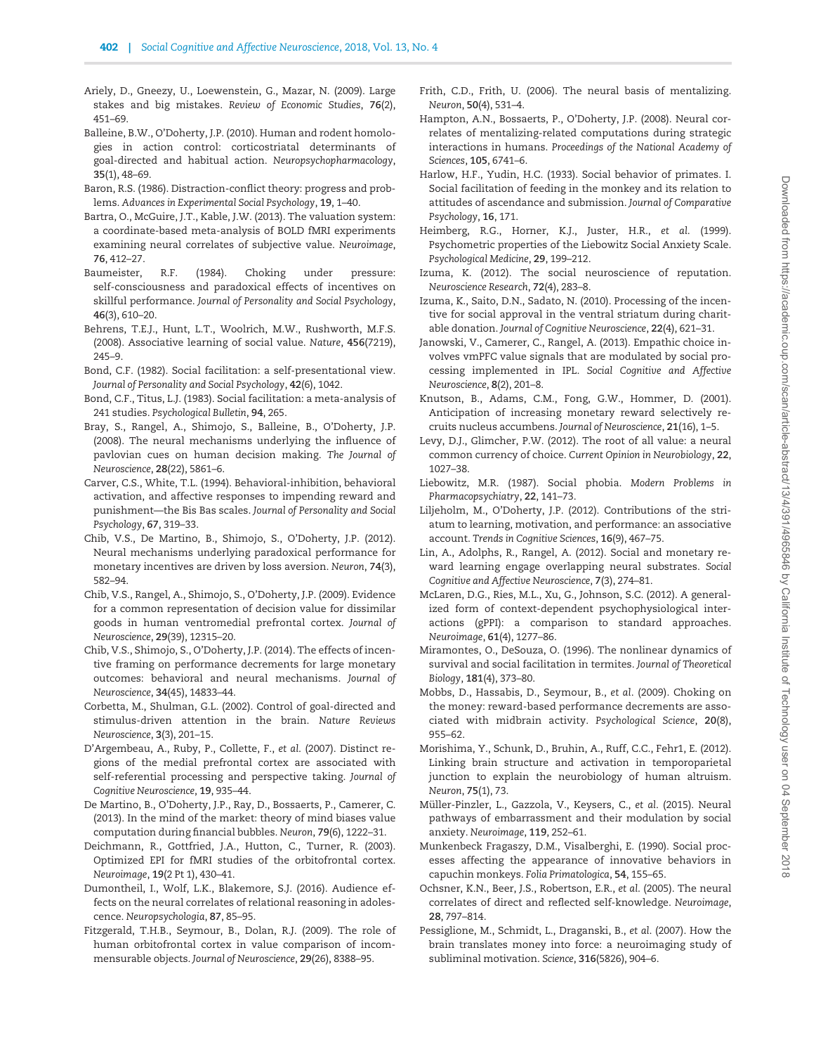- <span id="page-11-0"></span>Ariely, D., Gneezy, U., Loewenstein, G., Mazar, N. (2009). Large stakes and big mistakes. Review of Economic Studies, 76(2), 451–69.
- Balleine, B.W., O'Doherty, J.P. (2010). Human and rodent homologies in action control: corticostriatal determinants of goal-directed and habitual action. Neuropsychopharmacology, 35(1), 48–69.
- Baron, R.S. (1986). Distraction-conflict theory: progress and problems. Advances in Experimental Social Psychology, 19, 1–40.
- Bartra, O., McGuire, J.T., Kable, J.W. (2013). The valuation system: a coordinate-based meta-analysis of BOLD fMRI experiments examining neural correlates of subjective value. Neuroimage, 76, 412–27.
- Baumeister, R.F. (1984). Choking under pressure: self-consciousness and paradoxical effects of incentives on skillful performance. Journal of Personality and Social Psychology, 46(3), 610–20.
- Behrens, T.E.J., Hunt, L.T., Woolrich, M.W., Rushworth, M.F.S. (2008). Associative learning of social value. Nature, 456(7219), 245–9.
- Bond, C.F. (1982). Social facilitation: a self-presentational view. Journal of Personality and Social Psychology, 42(6), 1042.
- Bond, C.F., Titus, L.J. (1983). Social facilitation: a meta-analysis of 241 studies. Psychological Bulletin, 94, 265.
- Bray, S., Rangel, A., Shimojo, S., Balleine, B., O'Doherty, J.P. (2008). The neural mechanisms underlying the influence of pavlovian cues on human decision making. The Journal of Neuroscience, 28(22), 5861–6.
- Carver, C.S., White, T.L. (1994). Behavioral-inhibition, behavioral activation, and affective responses to impending reward and punishment—the Bis Bas scales. Journal of Personality and Social Psychology, 67, 319–33.
- Chib, V.S., De Martino, B., Shimojo, S., O'Doherty, J.P. (2012). Neural mechanisms underlying paradoxical performance for monetary incentives are driven by loss aversion. Neuron, 74(3), 582–94.
- Chib, V.S., Rangel, A., Shimojo, S., O'Doherty, J.P. (2009). Evidence for a common representation of decision value for dissimilar goods in human ventromedial prefrontal cortex. Journal of Neuroscience, 29(39), 12315–20.
- Chib, V.S., Shimojo, S., O'Doherty, J.P. (2014). The effects of incentive framing on performance decrements for large monetary outcomes: behavioral and neural mechanisms. Journal of Neuroscience, 34(45), 14833–44.
- Corbetta, M., Shulman, G.L. (2002). Control of goal-directed and stimulus-driven attention in the brain. Nature Reviews Neuroscience, 3(3), 201–15.
- D'Argembeau, A., Ruby, P., Collette, F., et al. (2007). Distinct regions of the medial prefrontal cortex are associated with self-referential processing and perspective taking. Journal of Cognitive Neuroscience, 19, 935–44.
- De Martino, B., O'Doherty, J.P., Ray, D., Bossaerts, P., Camerer, C. (2013). In the mind of the market: theory of mind biases value computation during financial bubbles. Neuron, 79(6), 1222–31.
- Deichmann, R., Gottfried, J.A., Hutton, C., Turner, R. (2003). Optimized EPI for fMRI studies of the orbitofrontal cortex. Neuroimage, 19(2 Pt 1), 430–41.
- Dumontheil, I., Wolf, L.K., Blakemore, S.J. (2016). Audience effects on the neural correlates of relational reasoning in adolescence. Neuropsychologia, 87, 85–95.
- Fitzgerald, T.H.B., Seymour, B., Dolan, R.J. (2009). The role of human orbitofrontal cortex in value comparison of incommensurable objects. Journal of Neuroscience, 29(26), 8388–95.
- Frith, C.D., Frith, U. (2006). The neural basis of mentalizing. Neuron, 50(4), 531–4.
- Hampton, A.N., Bossaerts, P., O'Doherty, J.P. (2008). Neural correlates of mentalizing-related computations during strategic interactions in humans. Proceedings of the National Academy of Sciences, 105, 6741–6.
- Harlow, H.F., Yudin, H.C. (1933). Social behavior of primates. I. Social facilitation of feeding in the monkey and its relation to attitudes of ascendance and submission. Journal of Comparative Psychology, 16, 171.
- Heimberg, R.G., Horner, K.J., Juster, H.R., et al. (1999). Psychometric properties of the Liebowitz Social Anxiety Scale. Psychological Medicine, 29, 199–212.
- Izuma, K. (2012). The social neuroscience of reputation. Neuroscience Research, 72(4), 283–8.
- Izuma, K., Saito, D.N., Sadato, N. (2010). Processing of the incentive for social approval in the ventral striatum during charitable donation. Journal of Cognitive Neuroscience, 22(4), 621–31.
- Janowski, V., Camerer, C., Rangel, A. (2013). Empathic choice involves vmPFC value signals that are modulated by social processing implemented in IPL. Social Cognitive and Affective Neuroscience, 8(2), 201–8.
- Knutson, B., Adams, C.M., Fong, G.W., Hommer, D. (2001). Anticipation of increasing monetary reward selectively recruits nucleus accumbens. Journal of Neuroscience, 21(16), 1–5.
- Levy, D.J., Glimcher, P.W. (2012). The root of all value: a neural common currency of choice. Current Opinion in Neurobiology, 22, 1027–38.
- Liebowitz, M.R. (1987). Social phobia. Modern Problems in Pharmacopsychiatry, 22, 141–73.
- Liljeholm, M., O'Doherty, J.P. (2012). Contributions of the striatum to learning, motivation, and performance: an associative account. Trends in Cognitive Sciences, 16(9), 467–75.
- Lin, A., Adolphs, R., Rangel, A. (2012). Social and monetary reward learning engage overlapping neural substrates. Social Cognitive and Affective Neuroscience, 7(3), 274–81.
- McLaren, D.G., Ries, M.L., Xu, G., Johnson, S.C. (2012). A generalized form of context-dependent psychophysiological interactions (gPPI): a comparison to standard approaches. Neuroimage, 61(4), 1277–86.
- Miramontes, O., DeSouza, O. (1996). The nonlinear dynamics of survival and social facilitation in termites. Journal of Theoretical Biology, 181(4), 373–80.
- Mobbs, D., Hassabis, D., Seymour, B., et al. (2009). Choking on the money: reward-based performance decrements are associated with midbrain activity. Psychological Science, 20(8), 955–62.
- Morishima, Y., Schunk, D., Bruhin, A., Ruff, C.C., Fehr1, E. (2012). Linking brain structure and activation in temporoparietal junction to explain the neurobiology of human altruism. Neuron, 75(1), 73.
- Müller-Pinzler, L., Gazzola, V., Keysers, C., et al. (2015). Neural pathways of embarrassment and their modulation by social anxiety. Neuroimage, 119, 252–61.
- Munkenbeck Fragaszy, D.M., Visalberghi, E. (1990). Social processes affecting the appearance of innovative behaviors in capuchin monkeys. Folia Primatologica, 54, 155–65.
- Ochsner, K.N., Beer, J.S., Robertson, E.R., et al. (2005). The neural correlates of direct and reflected self-knowledge. Neuroimage, 28, 797–814.
- Pessiglione, M., Schmidt, L., Draganski, B., et al. (2007). How the brain translates money into force: a neuroimaging study of subliminal motivation. Science, 316(5826), 904–6.